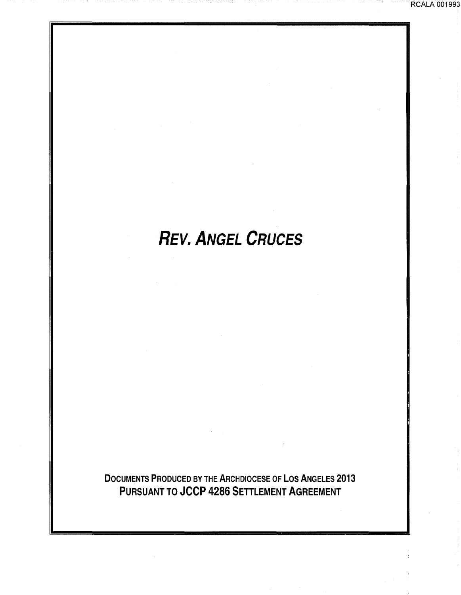# **REV. ANGEL CRUCES**

RCALA 001993

DOCUMENTS PRODUCED BY THE ARCHDIOCESE OF LOS ANGELES 2013 PURSUANT TO JCCP 4286 SETTLEMENT AGREEMENT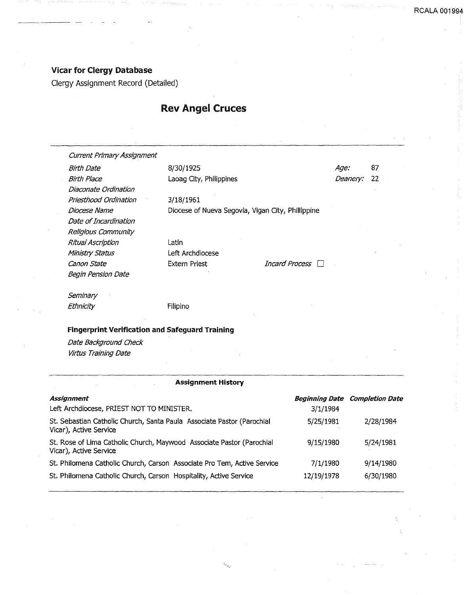## Vicar for Clergy Database

Clergy Assignment Record (Detailed)

# Rev Angel Cruces

Laoag City, Philippines

Current Primary Assignment

Birth Date Birth Place Diaconate Ordination Priesthood Ordination Date of Incardination Religious Community Ritual Ascription Ministry Status Canon State Begin Pension Date

3/18/1961

Diocese Name Diocese of Nueva Segovia, Vigan City, Phillippine

Latin Left Archdiocese

8/30/1925

Extern Priest *Incard Process* 

Age: 87 Deanery: 22

Seminary Ethnicity Filipino

#### Fingerprint Verification and Safeguard Training

Date Background Check Virtus Training Date

#### Assignment History

| Assignment                                                                                       |            | <b>Beginning Date Completion Date</b> |
|--------------------------------------------------------------------------------------------------|------------|---------------------------------------|
| Left Archdiocese, PRIEST NOT TO MINISTER.                                                        | 3/1/1984   |                                       |
| St. Sebastian Catholic Church, Santa Paula Associate Pastor (Parochial<br>Vicar), Active Service | 5/25/1981  | 2/28/1984                             |
| St. Rose of Lima Catholic Church, Maywood Associate Pastor (Parochial<br>Vicar), Active Service  | 9/15/1980  | 5/24/1981                             |
| St. Philomena Catholic Church, Carson Associate Pro Tem, Active Service                          | 7/1/1980   | 9/14/1980                             |
| St. Philomena Catholic Church, Carson Hospitality, Active Service                                | 12/19/1978 | 6/30/1980                             |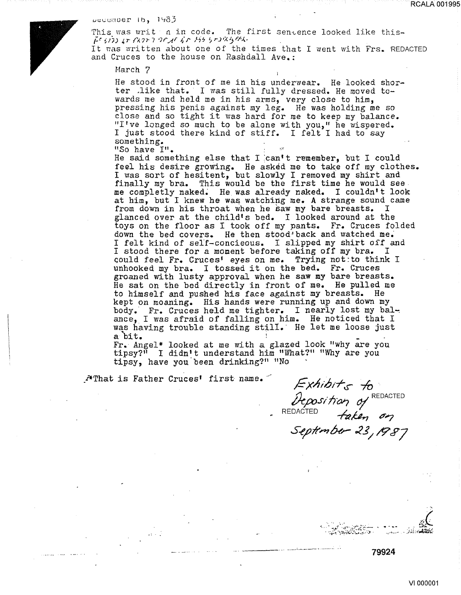RCALA 001995

#### $u$ ecemper  $16, 1933$

This was writ n in code. The first sentence looked like this-,:r.:,/;; *J,rf';..n-7* •7-f'Ar ~·r N':! ?rJ•:.C~r;:.,z.

It was written about one of the times that I went with Frs. REDACTED and Cruces to the house on Rashdall Ave.:

Harch 7

He stood in front of me in his underwear. He looked shorter .like that. I was still fully dressed. He moved towards me and held me in his arms, very close to him, pressing his penis against my leg. He was holding me so close and so tight it was hard for me to keep my balance. "I've longed so much to be alone with you," he wispered. <sup>I</sup>just stood there kind of stiff. I felt I had to say something. "So have I".

He said something else that I can't remember, but I could feel his desire growing. He asked me to take off my clothes. <sup>I</sup>was sort of hesitent, but slowly I removed my shirt and finally my bra. This would be the first time he would see me completly naked~ He was already naked. I couldn't look at him, but I knew he was watching me. A strange sound came from down in his throat when he saw my bare breasts. I from down in his throat when he saw my bare breasts. glanced over at the child's bed. I looked around at the toys on the floor as I took off my pants. Fr. Cruces folded down the bed covers. He then stood back and watched me. <sup>I</sup>felt kind of sel'f-concieous. I slipped my shirt off and I stood there for a moment before taking off my bra. I Gould feel Fr. Cruces' eyes on me. Trying not:to think <sup>I</sup> unhooked my bra. I tossed it on the bed. Fr. Cruces groaned with lusty approval when he saw my bare breasts. He sat on the bed directly in front of me. He pulled me to himself and pushed his face against my breasts. He kept on moaning. His hands were running up and down my body. Fr. Cruces held me tighter. I nearly lost my bal-: ance, I was afraid of falling on him. He noticed that I was having trouble standing still. He let me loose just<br>a bit.

a bit.<br>a bit.<br>Fr. Angel\* looked at me with a glazed look "why are you tipsy?" I didn't understand him "What?" "Why are you tipsy, have you.been drinking'?" "No

\_ •.::¥:That is Father Cruces' first name. *<sup>j</sup>*

 $\frac{1}{\sqrt{2}}$ 

 $\textit{Exhibit}_{\mathcal{S}}$  to Deposition of REDACTED

REDACTED  $\overleftrightarrow{P}$  for  $\overrightarrow{or}$ S-ejJ##?IHr- *.z\_g* / */t? r:?J* 

., . - ........ ~ .;-- ~.t:.·.~·J:- • . ·:~~~ '\;!f~~~.;.:~~;,.~:;::-:~ **·-:t** . -.··~ ... -

-----·-----·· **79924**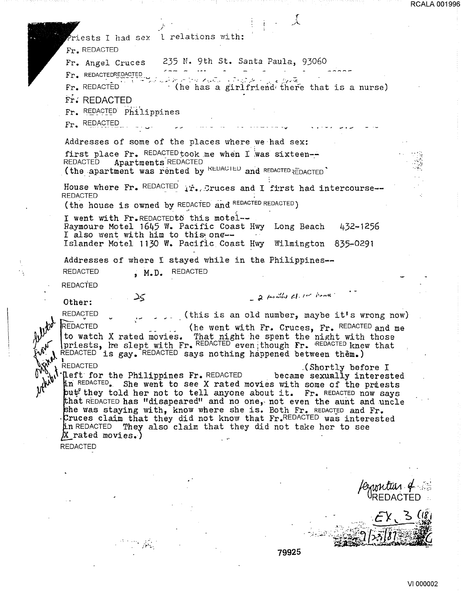Priests I had sex l relations with: Fr. REDACTED 235 N. 9th St. Santa Paula, 93060 Fr. Angel Cruces Fr. REDACTEDREDACTED a transformation of a first  $Fr<sub>e</sub>$  REDACTED (he has a girlfriend there that is a nurse) Fr. REDACTED Fr. REDACTED Philippines  $Fr$ . REDACTED Addresses of some of the places where we had sex: first place Fr. REDACTED took me when I was sixteen--REDACTED Apartments REDACTED (the apartment was rented by REDACIED and REDACTED REDACTED House where Fr. REDACTED ir. Cruces and I first had intercourse--**REDACTED** (the house is owned by REDACTED and REDACTED REDACTED) I went with Fr.REDACTEDto this motel--Raymoure Motel 1645 W. Pacific Coast Hwy Long Beach 432-1256 I also went with him to this one--Islander Motel 1130 W. Pacific Coast Hwy Wilmington 835-0291 Addresses of where I stayed while in the Philippines--**REDACTED REDACTED**  $, M.D.$ REDACTED - 2 fortiles class home کت Other: REDACTED (this is an old number, maybe it's wrong now) **REDACTED** (he went with Fr. Cruces, Fr. REDACTED and me to watch X rated movies. That night he spent the night with those<br>priests, he slept with Fr. REDACTED even though Fr. REDACTED knew that REDACTED is gay. REDACTED says nothing happened between them.)  $\int_{M}^{V} \phi_0 \int_{\text{in}}^{\text{Left}} \text{Left for the Philippines Fr. REDACTER}$ (Shortly before I became sexually interested in REDACTED. She went to see X rated movies with some of the priests put they told her not to tell anyone about it. Fr. REDACTED now says that REDACTED has "disapeared" and no one, not even the aunt and uncle she was staying with, know where she is. Both Fr. REDACTED and Fr. Cruces claim that they did not know that Fr.REDACTED was interested **jin** REDACTED They also claim that they did not take her to see  $\beta$  rated movies.) **REDACTED** 

79925

**RCALA 001996**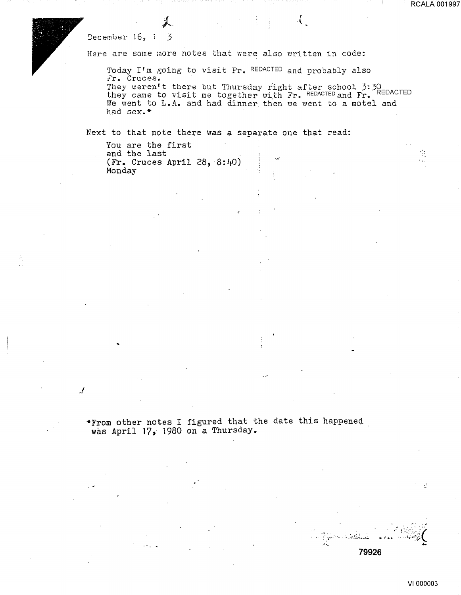December 16, i 3

.I

Here are some more notes that were also written in code:

Today I'm going to visit Fr. REDACTED and probably also Fr. Cruces.

They weren't there but Thursday right after school 3:30 they weren t there but final suay right arter sthoot ). We have they came to visit me together with Fr. REDACTED We went to L.A. and had dinner then we went to a motel and had sex.\*

.\_ ..

 $\mathcal{L}$ 

Next to that note there was a separate one that read:

You are the first and the last (Fr. Cruces April 28, 8:40) Monday

•From other notes I figured that the date this happened was April 17 *i* 1980 on a Thursday.

.<br>.. . ..<br>.. : : : : ... .

ž

·}:;;\_ --·-·'-'-·~·-'-' -- .,~.,: ~:>L;~i( -~ ~.. ..... **79926**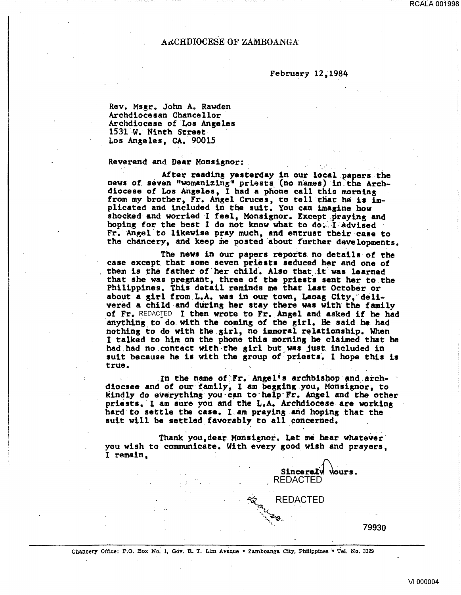### ARCHDIOCESE OF ZAMBOANGA

#### February 12,1984

Rev. Msgr. John A. Rawden Archdiocesan Chancellor Archdiocese of Los Angeles<br>1531 W. Ninth Street Los Angeles, CA. 90015

Reverend and Dear Monsignor: . . . . .

. After reading yesterday in our local papers the news of seven "womanizing" priests (no names) in the Archdiocese of Los Angeles, I had a phone call this morning from my brother, Fr. Angel Cruces, to tell that he is implicated and included in the suit. You can imagine how shocked and worried I feel, Monsignor. Except praying and hoping for the best I do not know what to do. I advised Fr. Angel to likewise pray much, and entrust their case to the chancery, and keep me posted about further developments.

The news in our papers reports no details of the case except. that some seven priests seduced her and one of them is the father of her child. Also that it was learned that she was pregnant, three of the priests sent her to. the Philippines. This detail reminds me that last October or about a girl from L.A. was in our town, Laoag City, delivered a child-and during her stay there was with the family of Fr. REDACTED I then wrote to Fr. Angel and asked if he had anything to do with the coming of the girl. He said he had nothing to do with the girl, no immoral relationship. When I talked to him on the phone this mornins he claimed that he had had no contact with the girl but was just included in suit because he is with the group of priests. I hope this is true.<br>true.

In the name of: Fr. Angel's archbishop and arch-<br>diocsee and of our family, I am begging you, Monsignor, to kindly do everything you can to help Fr. Angel and the other priests. I am sure you and the L.A. Archdiocese are working hard to settle the case. I am praying and hoping that the suit will be settled favorably to all concerned.

Thank you, dear Monsignor. Let me hear whatever you wish to communicate. With every good wish and prayers, I remain,

Sincerely wours.

REDACTED

**REDACTED** 

Chancery Office: P.O. Box No. 1, Gov. R. T. Lim Avenue • Zamboanga City, Philippines <sup>'</sup> Tel. No. 3329

79930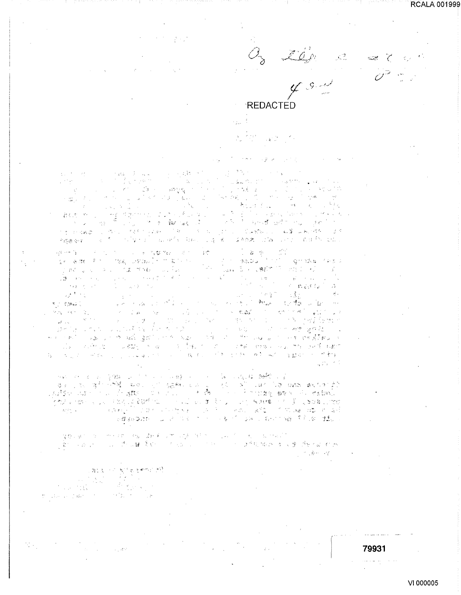**RCALA 001999** 

 $\sim 10$ 

さん。 tog e - 142  $\tau_{\rm{c}}$  . **REDACTED** Чý.  $\rightarrow$   $K^+$   $\rightarrow$   $^{-1}$ 

 $\sim$   $\sim$   $\sim$   $\sim$ しょれん しょうぶつ  $\alpha$  , and  $\alpha$  , and  $\alpha$  , and  $\alpha$  $\gamma_{\rm{B}}$  and  $\gamma_{\rm{B}}$  $\frac{1}{\sqrt{2}}\left(\frac{1}{\sqrt{2}}\frac{1}{\sqrt{2}}\frac{1}{\sqrt{2}}\right) = \frac{1}{2}\left(\frac{1}{\sqrt{2}}\frac{1}{\sqrt{2}}\right)$  $\sim 10^{-10}$  km  $^{-1}$  $\label{eq:2.1} \begin{split} \mathcal{L}_{\text{eff}} &= \frac{1}{2} \frac{g^2 \Delta}{\sqrt{2}} = \frac{2}{\pi} \left( \frac{g^2 \Delta}{\sqrt{2}} \right) \frac{g^2}{\sqrt{2}} \frac{g^2}{\sqrt{2}} \frac{g^2}{\sqrt{2}} \frac{g^2}{\sqrt{2}} \, , \end{split}$ **Burnett**  $\label{eq:2.1} \begin{split} \mathcal{D}_{\text{max}}(\mathcal{D}_{\text{max}}(\mathcal{D}_{\text{max}})) = \mathcal{D}_{\text{max}}(\mathcal{D}_{\text{max}}) \\ \mathcal{D}_{\text{max}}(\mathcal{D}_{\text{max}}(\mathcal{D}_{\text{max}})) = \mathcal{D}_{\text{max}}(\mathcal{D}_{\text{max}}) \end{split}$  $\mathcal{L}^{\text{L}}(\mathcal{C})$  .  $\label{eq:3.1} \left\langle \left\langle \psi_{\alpha\beta} \right\rangle \xi^{\alpha\beta\beta\gamma} \right\rangle = \left\langle \left\langle \psi_{\alpha\beta} \right\rangle \right\rangle = \left\langle \left\langle \psi_{\alpha\beta} \right\rangle \right\rangle$  $\frac{1}{2}$  ,  $\frac{1}{2}$  ,  $\frac{1}{2}$  ,  $\frac{1}{2}$  , 一、 医皮炎血液  $\Delta_{\rm L}^2$  $\mathcal{L}_{\rm eff}$  ,  $\mathcal{L}_{\rm eff}$  $\tau = \tau_2$  .  $\frac{1}{2} \partial \Phi_{\rm{eff}} = 0.59$  $\leq 2\overline{\omega}_{12} \leq 7$  $\sigma_{\rm x} \simeq 2.5 \; \mu_{\rm p}$  .  $\mathcal{L}=\mathcal{R}(\omega)$  for  $\sim$  4  $\sim$   $\sim$   $\epsilon_{\rm c}$  $\sim 5\,r_{\rm g}$  $\sim 2\%$  $\label{eq:1} \mathcal{L}_{\mathcal{A}}(\mathbf{x},\mathbf{y}) = \mathcal{L}_{\mathcal{A}}(\mathbf{x},\mathbf{y})$  $\mathcal{L}^{\text{max}}_{\text{max}}$  $\sim$  $\sim 15$  $\sigma_{\rm c}$  )  $\label{eq:1.1} \begin{split} \mathcal{L}_{\text{max}}(\mathbf{r}) & = \mathcal{L}_{\text{max}}(\mathbf{r}) \mathcal{L}_{\text{max}}(\mathbf{r}) \mathbf{r} + \mathbf{r} \mathbf{r}^{\prime} \mathbf{r}^{\prime} + \mathbf{r}^{\prime} \mathbf{r}^{\prime} + \mathbf{r}^{\prime} \mathbf{r}^{\prime} \mathbf{r}^{\prime} + \mathbf{r}^{\prime} \mathbf{r}^{\prime} \mathbf{r}^{\prime} \mathbf{r}^{\prime} + \mathbf{r}^{\prime} \mathbf{r}^{\prime} \mathbf{r}$ ਾਨ ਨੂੰ ਅਨੁਭੂ <sub>ਕੋ</sub>ਰੋਨ ਨਹਾਂ ਭਗਨਾ ਨ in the consideration of the constant of the control of the constitution of the problem of the constitution of t 网络幽蚕花 人名英格兰人姓氏罗克里奇的变体 电极电 医霍尔斯氏征鼻部切除术 计输入文件 医耳鼻的 电电子

**Ignisha** (Pebl.)  $\frac{\partial^2 \Psi}{\partial x^2} = \frac{1}{2} \frac{\partial^2 \Psi}{\partial x^2}$  $\frac{1}{2} \frac{1}{2} \sigma$ i<br>Talia  $\label{eq:2.1} \mu_{\rm c} \left( \mathcal{V} \right) = \mathcal{V} \mu_{\rm c} \left( \mathcal{V} \right) = \mathcal{V} \left( \mathcal{V} \right) \left( \mathcal{V} \right)$ **Production**  $\mathcal{O}(2\pi\chi)$  of  $\mathcal{O}(2\pi\chi)$  $\sim 10^{-10}$ "不是"。 《魏王》  $\mathcal{L}^{(k+1)}_{\mathcal{L}}$  , State State  $\sim$   $\beta$  . vé karacintis (no su komerci †uko ben∰s vieno er  $\mathcal{F} = \mathcal{F}(\mathbf{m}_\mathrm{eff})$  $\label{eq:2.1} \frac{1}{\sqrt{2}}\sum_{\substack{a\in \mathbb{Z}^2\\ \left(\frac{a}{2}\right)^2\leq \left(\frac{a}{2}\right)^2\leq \left(\frac{a}{2}\right)^2\leq \left(\frac{a}{2}\right)^2\leq \left(\frac{a}{2}\right)^2\leq \left(\frac{a}{2}\right)^2\leq \left(\frac{a}{2}\right)^2\leq \left(\frac{a}{2}\right)^2\leq \left(\frac{a}{2}\right)^2\leq \left(\frac{a}{2}\right)^2\leq \left(\frac{a}{2}\right)^2\leq \left(\frac{a}{2}\right)^2\leq \left$  $\mathcal{L}^{\text{max}}_{\text{max}}$  $\mathcal{M}_{\mathcal{L},\mathcal{R}}^{\mathcal{L},\mathcal{L}}=\mathcal{L}_{\mathcal{R}}^{\mathcal{L},\mathcal{L}}=\mathcal{L}_{\mathcal{L},\mathcal{L}}^{\mathcal{L}}$  $\mathcal{S}^{\text{in}}(\mathcal{S})=\left\{ \begin{array}{ll} 1 & \text{if } \mathcal{S}^{\text{in}}(\mathcal{S}) \leq \mathcal{S}^{\text{in}}(\mathcal{S}) \end{array} \right.$ "一样,有了一个"老人的人好","我们一定是我的人的人想来好。 每一个人是这个问题的。 医心脏病毒 计图片分析 网络 光平

a govern a companies on de Camalage about a La California a mail.<br>Light capacity and that first and the companies of different or a government  $\cap_{\mathcal{A}}\mathring{\mathcal{B}}\cap\cap\mathcal{A}_{\mathcal{C}}^{\mathcal{C}}$ 

and in Spreemont<br>Second Police<br>Second Provision

 $\omega_{\rm d}$  and

 $\mathcal{O}(\mathcal{O}(\frac{2\pi}{\sigma})\mathcal{O}(\frac{1}{\sigma}))\leq \mathcal{O}(\frac{1}{\sigma})$ 

 $\mathbb{M}^2$  . The case of  $\mathfrak{m} \mathfrak{m}^2$  ,  $\mathbb{M}^2$ 

79931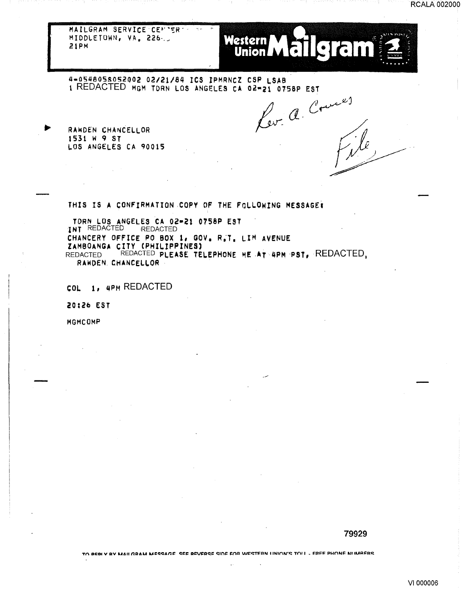

**RCALA 002000** 

4-0548058052002 02/21/84 ICS IPMRNCZ CSP LSAB 1 REDACTED MGM TORN LOS ANGELES CA 02-21 0758P EST Kev. a. Cours

RAWDEN CHANCELLOR 1531 W 9 ST LOS ANGELES CA 90015

 $\sim 10^{-10}$ 

THIS IS A CONFIRMATION COPY OF THE FOLLOWING MESSAGE:

TORN LOS ANGELES CA 02-21 0758P EST INT REDACTED REDACTED CHANCERY OFFICE PO BOX 1, GOV, R.T. LIM AVENUE ZAMBOANGA CITY (PHILIPPINES) REDACTED REDACTED PLEASE TELEPHONE ME AT 4PM PST, REDACTED, RAWDEN. CHANCELLOR -

COL 1, 4PM REDACTED

20:26 EST

MGMCOMP

#### 79929

TO BEBLY BY MAILGRAM MESSAGE, SEE BEVERSE SIDE EOR WESTERN LINION'S TOLL . EREE PHONE NLIMBERS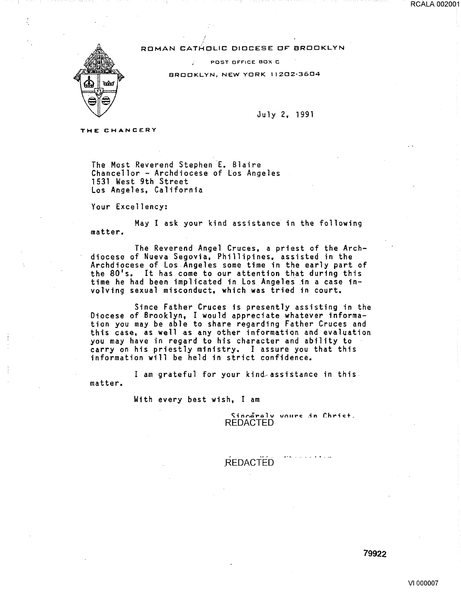ROMAN CATHOLIC DIOCESE OF" BROOKLYN

POST OFFICE BOX C

BROOKLYN, NEW YORK 11202·3604



July 2, 1991

THE CHANCERY

The Most Reverend Stephen E. Blaire Chancellor- Archdiocese of Los Angeles 1531 West 9th Street Los Angeles, California

Your Excellency:

May I ask your kind assistance in the following matter.

The Reverend Angel Cruces, a priest of the Archdiocese of Nueva Segovia, Phillipines, assisted in the Archdiocese of Los Angeles some time in the early part of the 80's. It has come to our attention that during this time he had been implicated in Los Angeles in a case involving sexual misconduct, which was tried in court.

Since Father Cruces is presently assisting in the Diocese of Brooklyn, I would appreciate whatever information you may be able to share regarding Father Cruces and this case, as well as any other information and evaluation you may have in regard to his character and ability to carry on his priestly ministry. I assure you that this information will be held in strict confidence.

I am grateful for your kind assistance in this. matter.

With every best wish, I am

Sinnåralv voure in Chriet. **REDACTED** 

REDACTED

#### 79922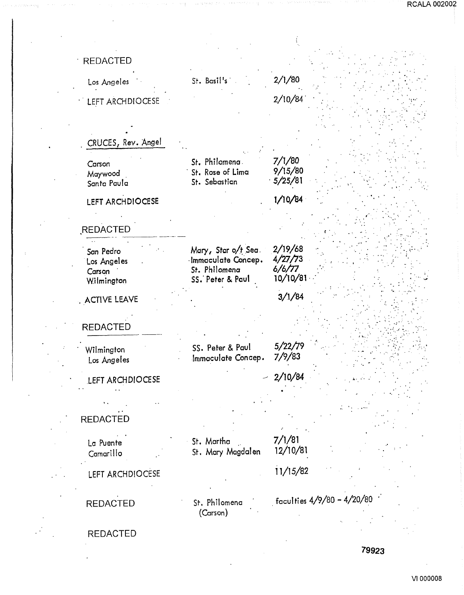| <b>REDACTED</b>                                  |                                                                                |                                          |                              |
|--------------------------------------------------|--------------------------------------------------------------------------------|------------------------------------------|------------------------------|
| Los Angeles                                      | St. Basil's                                                                    | 2/1/80                                   |                              |
| LEFT ARCHDIOCESE                                 |                                                                                | 2/10/84                                  |                              |
|                                                  |                                                                                |                                          |                              |
| CRUCES, Rev. Angel                               |                                                                                |                                          |                              |
| Carson<br>Maywood<br>Santa Paula                 | St. Philomena<br>St. Rose of Lima<br>St. Sebastian                             | 7/1/80<br>9/15/80<br>5/25/81             |                              |
| LEFT ARCHDIOCESE                                 |                                                                                | 1/10/84                                  |                              |
| REDACTED                                         |                                                                                |                                          |                              |
| San Pedro<br>Los Angeles<br>Carson<br>Wilmington | Mary, Star o/t Sea.<br>Immaculate Concep.<br>St. Philomena<br>SS. Peter & Paul | 2/19/68<br>4/27/73<br>6/6/77<br>10/10/81 |                              |
| . ACTIVE LEAVE                                   |                                                                                | 3/1/84                                   |                              |
| <b>REDACTED</b>                                  |                                                                                |                                          |                              |
| Wilmington<br>Los Angeles                        | SS. Peter & Paul<br>Immaculate Concep.                                         | 5/22/79<br>7/9/83                        |                              |
| LEFT ARCHDIOCESE                                 |                                                                                | 2/10/84                                  |                              |
| <b>REDACTED</b>                                  |                                                                                |                                          |                              |
| La Puente<br>Camarillo                           | St. Martha<br>St. Mary Magdalen                                                | 7/1/81<br>12/10/81                       |                              |
| LEFT ARCHDIOCESE                                 |                                                                                | 11/15/82                                 |                              |
| <b>REDACTED</b>                                  | St. Philomena<br>(Carson)                                                      |                                          | faculties $4/9/80 - 4/20/80$ |
| <b>REDACTED</b>                                  |                                                                                |                                          |                              |
|                                                  |                                                                                |                                          | 79923                        |

ومباد